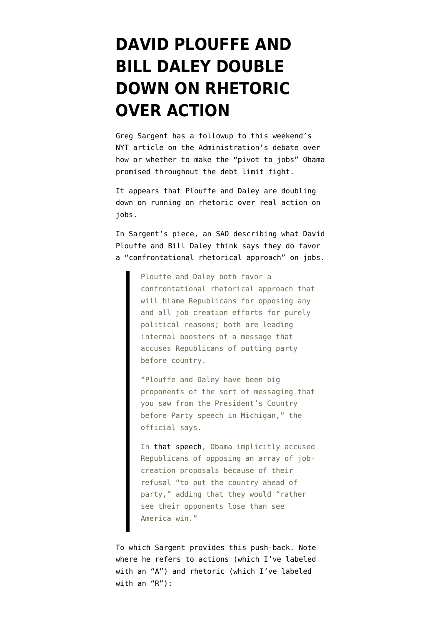## **[DAVID PLOUFFE AND](https://www.emptywheel.net/2011/08/15/david-plouffe-and-bill-daley-double-down-on-rhetoric-over-action/) [BILL DALEY DOUBLE](https://www.emptywheel.net/2011/08/15/david-plouffe-and-bill-daley-double-down-on-rhetoric-over-action/) [DOWN ON RHETORIC](https://www.emptywheel.net/2011/08/15/david-plouffe-and-bill-daley-double-down-on-rhetoric-over-action/) [OVER ACTION](https://www.emptywheel.net/2011/08/15/david-plouffe-and-bill-daley-double-down-on-rhetoric-over-action/)**

Greg Sargent has a [followup](http://www.washingtonpost.com/blogs/plum-line/post/what-obamas-team-really-believes-about-gop-and-economy/2011/03/03/gIQAHfW7GJ_blog.html) to this weekend's [NYT article](https://www.nytimes.com/2011/08/14/us/politics/14econ.html) on the Administration's debate over how or whether to make the "pivot to jobs" Obama promised throughout the debt limit fight.

It appears that Plouffe and Daley are doubling down on running on rhetoric over real action on jobs.

In Sargent's piece, an SAO describing what David Plouffe and Bill Daley think says they do favor a "confrontational rhetorical approach" on jobs.

> Plouffe and Daley both favor a confrontational rhetorical approach that will blame Republicans for opposing any and all job creation efforts for purely political reasons; both are leading internal boosters of a message that accuses Republicans of putting party before country.

> "Plouffe and Daley have been big proponents of the sort of messaging that you saw from the President's Country before Party speech in Michigan," the official says.

> In [that speech,](http://www.whitehouse.gov/the-press-office/2011/08/11/remarks-president-johnson-controls-inc) Obama implicitly accused Republicans of opposing an array of jobcreation proposals because of their refusal "to put the country ahead of party," adding that they would "rather see their opponents lose than see America win."

To which Sargent provides this push-back. Note where he refers to actions (which I've labeled with an "A") and rhetoric (which I've labeled with an "R"):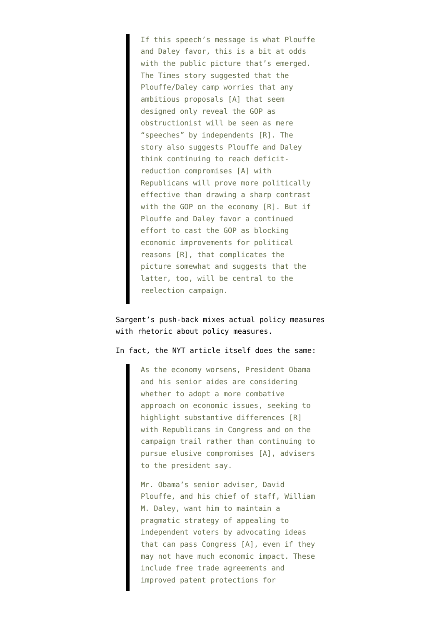If this speech's message is what Plouffe and Daley favor, this is a bit at odds with the public picture that's emerged. The Times story suggested that the Plouffe/Daley camp worries that any ambitious proposals [A] that seem designed only reveal the GOP as obstructionist will be seen as mere "speeches" by independents [R]. The story also suggests Plouffe and Daley think continuing to reach deficitreduction compromises [A] with Republicans will prove more politically effective than drawing a sharp contrast with the GOP on the economy [R]. But if Plouffe and Daley favor a continued effort to cast the GOP as blocking economic improvements for political reasons [R], that complicates the picture somewhat and suggests that the latter, too, will be central to the reelection campaign.

## Sargent's push-back mixes actual policy measures with rhetoric about policy measures.

In fact, the [NYT article](https://www.nytimes.com/2011/08/14/us/politics/14econ.html?pagewanted=all) itself does the same:

As the economy worsens, President Obama and his senior aides are considering whether to adopt a more combative approach on economic issues, seeking to highlight substantive differences [R] with Republicans in Congress and on the campaign trail rather than continuing to pursue elusive compromises [A], advisers to the president say.

Mr. Obama's senior adviser, David Plouffe, and his chief of staff, William M. Daley, want him to maintain a pragmatic strategy of appealing to independent voters by advocating ideas that can pass Congress [A], even if they may not have much economic impact. These include free trade agreements and improved patent protections for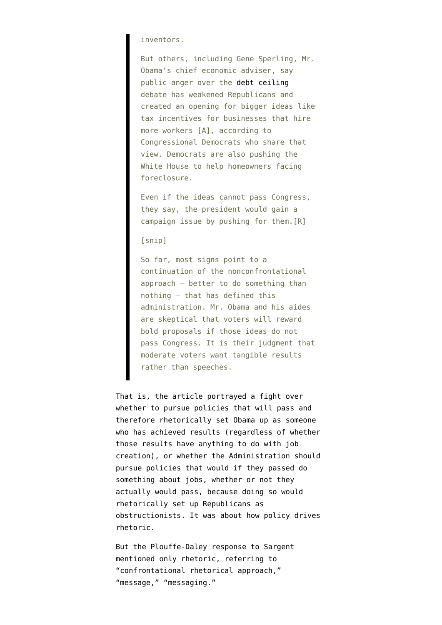inventors.

But others, including Gene Sperling, Mr. Obama's chief economic adviser, say public anger over the [debt ceiling](http://topics.nytimes.com/topics/reference/timestopics/subjects/n/national_debt_us/index.html?inline=nyt-classifier) debate has weakened Republicans and created an opening for bigger ideas like tax incentives for businesses that hire more workers [A], according to Congressional Democrats who share that view. Democrats are also pushing the White House to help homeowners facing foreclosure.

Even if the ideas cannot pass Congress, they say, the president would gain a campaign issue by pushing for them.[R]

[snip]

So far, most signs point to a continuation of the nonconfrontational approach — better to do something than nothing — that has defined this administration. Mr. Obama and his aides are skeptical that voters will reward bold proposals if those ideas do not pass Congress. It is their judgment that moderate voters want tangible results rather than speeches.

That is, the article portrayed a fight over whether to pursue policies that will pass and therefore rhetorically set Obama up as someone who has achieved results (regardless of whether those results have anything to do with job creation), or whether the Administration should pursue policies that would if they passed do something about jobs, whether or not they actually would pass, because doing so would rhetorically set up Republicans as obstructionists. It was about how policy drives rhetoric.

But the Plouffe-Daley response to Sargent mentioned only rhetoric, referring to "confrontational rhetorical approach," "message," "messaging."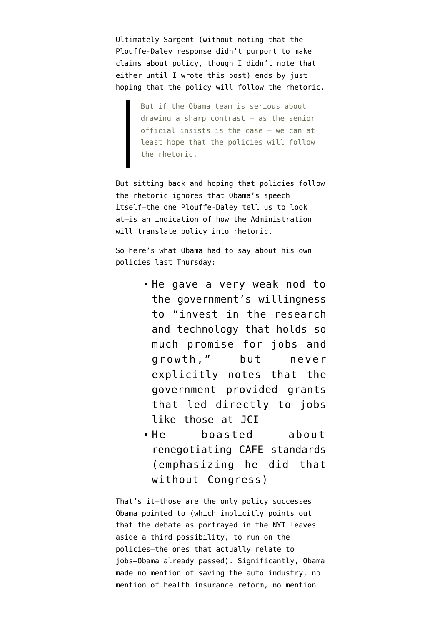Ultimately Sargent (without noting that the Plouffe-Daley response didn't purport to make claims about policy, though I didn't note that either until I wrote this post) ends by just hoping that the policy will follow the rhetoric.

> But if the Obama team is serious about drawing a sharp contrast — as the senior official insists is the case — we can at least hope that the policies will follow the rhetoric.

But sitting back and hoping that policies follow the rhetoric ignores that [Obama's speech](http://www.whitehouse.gov/the-press-office/2011/08/11/remarks-president-johnson-controls-inc) [itself](http://www.whitehouse.gov/the-press-office/2011/08/11/remarks-president-johnson-controls-inc)–the one Plouffe-Daley tell us to look at–is an indication of how the Administration will translate policy into rhetoric.

So here's what Obama had to say about his own policies last Thursday:

- He [gave a very weak nod](http://www.emptywheel.net/2011/08/11/apparently-freedom-is-the-new-euphemism-for-government-investment/) to the government's willingness to "invest in the research and technology that holds so much promise for jobs and growth," but never explicitly notes that the government provided grants that led directly to jobs like those at JCI
- He boasted about renegotiating CAFE standards (emphasizing he did that without Congress)

That's it–those are the only policy successes Obama pointed to (which implicitly points out that the debate as portrayed in the NYT leaves aside a third possibility, to run on the policies–the ones that actually relate to jobs–Obama already passed). Significantly, Obama made no mention of saving the auto industry, no mention of health insurance reform, no mention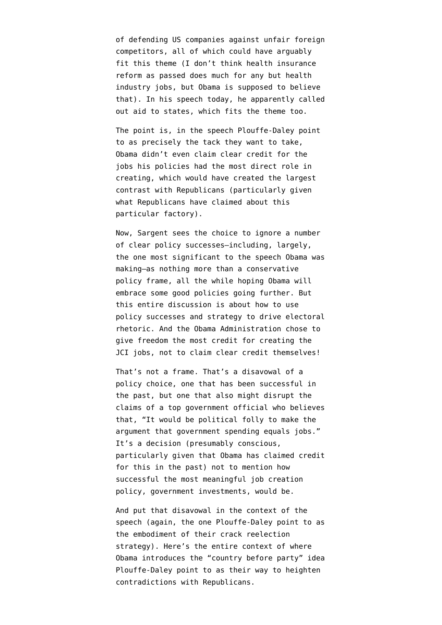of defending US companies against unfair foreign competitors, all of which could have arguably fit this theme (I don't think health insurance reform as passed does much for any but health industry jobs, but Obama is supposed to believe that). In his speech today, he apparently called out aid to states, which fits the theme too.

The point is, in the speech Plouffe-Daley point to as precisely the tack they want to take, Obama didn't even claim clear credit for the jobs his policies had the most direct role in creating, which would have created the largest contrast with Republicans (particularly given what Republicans have claimed about this particular factory).

Now, Sargent sees the choice to ignore a number of clear policy successes–including, largely, the one most significant to the speech Obama was making–as nothing more than [a conservative](http://twitter.com/ThePlumLineGS/statuses/103143650791391233) [policy frame](http://twitter.com/ThePlumLineGS/statuses/103143650791391233), all the while hoping Obama will embrace some good policies going further. But this entire discussion is about how to use policy successes and strategy to drive electoral rhetoric. And the Obama Administration chose to give freedom the most credit for creating the JCI jobs, not to claim clear credit themselves!

That's not a frame. That's a disavowal of a policy choice, one that has been successful in the past, but one that also might disrupt the claims of a top government official who [believes](http://www.emptywheel.net/2011/08/14/the-administrations-lame-plan-on-the-economy-it-gets-worse/) that, "It would be political folly to make the argument that government spending equals jobs." It's a decision (presumably conscious, particularly given that Obama [has claimed credit](http://www.whitehouse.gov/the-press-office/remarks-president-holland-michigan-investing-clean-energy) [for this in the past](http://www.whitehouse.gov/the-press-office/remarks-president-holland-michigan-investing-clean-energy)) not to mention how successful the most meaningful job creation policy, government investments, would be.

And put that disavowal in the context of the speech (again, the one Plouffe-Daley point to as the embodiment of their crack reelection strategy). Here's the entire context of where Obama introduces the "country before party" idea Plouffe-Daley point to as their way to heighten contradictions with Republicans.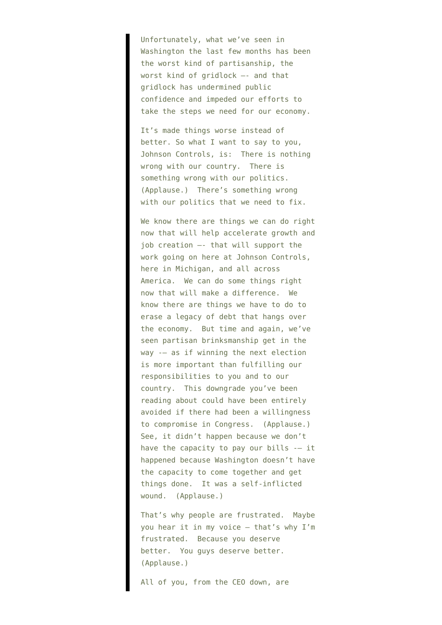Unfortunately, what we've seen in Washington the last few months has been the worst kind of partisanship, the worst kind of gridlock –- and that gridlock has undermined public confidence and impeded our efforts to take the steps we need for our economy.

It's made things worse instead of better. So what I want to say to you, Johnson Controls, is: There is nothing wrong with our country. There is something wrong with our politics. (Applause.) There's something wrong with our politics that we need to fix.

We know there are things we can do right now that will help accelerate growth and job creation –- that will support the work going on here at Johnson Controls, here in Michigan, and all across America. We can do some things right now that will make a difference. We know there are things we have to do to erase a legacy of debt that hangs over the economy. But time and again, we've seen partisan brinksmanship get in the way -– as if winning the next election is more important than fulfilling our responsibilities to you and to our country. This downgrade you've been reading about could have been entirely avoided if there had been a willingness to compromise in Congress. (Applause.) See, it didn't happen because we don't have the capacity to pay our bills -– it happened because Washington doesn't have the capacity to come together and get things done. It was a self-inflicted wound. (Applause.)

That's why people are frustrated. Maybe you hear it in my voice — that's why I'm frustrated. Because you deserve better. You guys deserve better. (Applause.)

All of you, from the CEO down, are